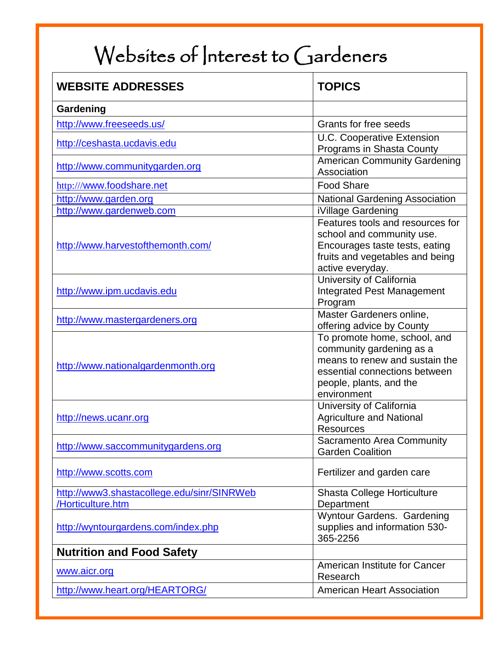## Websites of Interest to Gardeners

| <b>WEBSITE ADDRESSES</b>                                        | <b>TOPICS</b>                                                                                                                                                                |
|-----------------------------------------------------------------|------------------------------------------------------------------------------------------------------------------------------------------------------------------------------|
| Gardening                                                       |                                                                                                                                                                              |
| http://www.freeseeds.us/                                        | Grants for free seeds                                                                                                                                                        |
| http://ceshasta.ucdavis.edu                                     | <b>U.C. Cooperative Extension</b><br>Programs in Shasta County                                                                                                               |
| http://www.communitygarden.org                                  | <b>American Community Gardening</b><br>Association                                                                                                                           |
| http:///www.foodshare.net                                       | <b>Food Share</b>                                                                                                                                                            |
| http://www.garden.org                                           | <b>National Gardening Association</b>                                                                                                                                        |
| http://www.gardenweb.com<br>http://www.harvestofthemonth.com/   | iVillage Gardening<br>Features tools and resources for<br>school and community use.<br>Encourages taste tests, eating<br>fruits and vegetables and being<br>active everyday. |
| http://www.ipm.ucdavis.edu                                      | University of California<br><b>Integrated Pest Management</b><br>Program                                                                                                     |
| http://www.mastergardeners.org                                  | Master Gardeners online,<br>offering advice by County                                                                                                                        |
| http://www.nationalgardenmonth.org                              | To promote home, school, and<br>community gardening as a<br>means to renew and sustain the<br>essential connections between<br>people, plants, and the<br>environment        |
| http://news.ucanr.org                                           | University of California<br><b>Agriculture and National</b><br><b>Resources</b>                                                                                              |
| http://www.saccommunitygardens.org                              | Sacramento Area Community<br><b>Garden Coalition</b>                                                                                                                         |
| http://www.scotts.com                                           | Fertilizer and garden care                                                                                                                                                   |
| http://www3.shastacollege.edu/sinr/SINRWeb<br>/Horticulture.htm | Shasta College Horticulture<br>Department                                                                                                                                    |
| http://wyntourgardens.com/index.php                             | <b>Wyntour Gardens. Gardening</b><br>supplies and information 530-<br>365-2256                                                                                               |
| <b>Nutrition and Food Safety</b>                                |                                                                                                                                                                              |
| www.aicr.org                                                    | American Institute for Cancer<br>Research                                                                                                                                    |
| http://www.heart.org/HEARTORG/                                  | <b>American Heart Association</b>                                                                                                                                            |